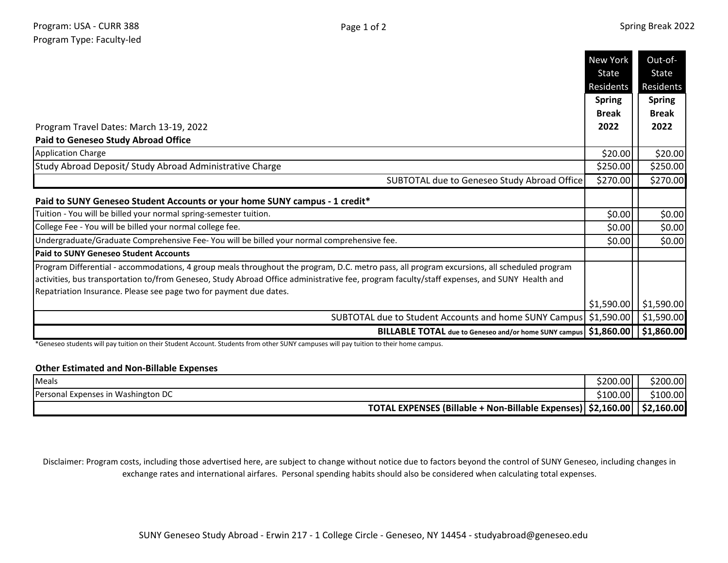| Program Travel Dates: March 13-19, 2022                                                                                                                                                                                                                                                                                                                          | New York<br>State<br>Residents<br><b>Spring</b><br><b>Break</b><br>2022 | Out-of-<br>State<br>Residents<br><b>Spring</b><br><b>Break</b><br>2022 |
|------------------------------------------------------------------------------------------------------------------------------------------------------------------------------------------------------------------------------------------------------------------------------------------------------------------------------------------------------------------|-------------------------------------------------------------------------|------------------------------------------------------------------------|
| <b>Paid to Geneseo Study Abroad Office</b>                                                                                                                                                                                                                                                                                                                       |                                                                         |                                                                        |
| <b>Application Charge</b>                                                                                                                                                                                                                                                                                                                                        | \$20.00                                                                 | \$20.00                                                                |
| Study Abroad Deposit/ Study Abroad Administrative Charge                                                                                                                                                                                                                                                                                                         | \$250.00                                                                | \$250.00                                                               |
| SUBTOTAL due to Geneseo Study Abroad Office                                                                                                                                                                                                                                                                                                                      | \$270.00                                                                | \$270.00                                                               |
| Paid to SUNY Geneseo Student Accounts or your home SUNY campus - 1 credit*                                                                                                                                                                                                                                                                                       |                                                                         |                                                                        |
| Tuition - You will be billed your normal spring-semester tuition.                                                                                                                                                                                                                                                                                                | \$0.00                                                                  | \$0.00                                                                 |
| College Fee - You will be billed your normal college fee.                                                                                                                                                                                                                                                                                                        | \$0.00                                                                  | \$0.00                                                                 |
| Undergraduate/Graduate Comprehensive Fee-You will be billed your normal comprehensive fee.                                                                                                                                                                                                                                                                       | \$0.00                                                                  | \$0.00                                                                 |
| <b>Paid to SUNY Geneseo Student Accounts</b>                                                                                                                                                                                                                                                                                                                     |                                                                         |                                                                        |
| Program Differential - accommodations, 4 group meals throughout the program, D.C. metro pass, all program excursions, all scheduled program<br>activities, bus transportation to/from Geneseo, Study Abroad Office administrative fee, program faculty/staff expenses, and SUNY Health and<br>Repatriation Insurance. Please see page two for payment due dates. |                                                                         |                                                                        |
|                                                                                                                                                                                                                                                                                                                                                                  |                                                                         | $$1,590.00$   $$1,590.00$                                              |
| SUBTOTAL due to Student Accounts and home SUNY Campus   \$1,590.00     \$1,590.00                                                                                                                                                                                                                                                                                |                                                                         |                                                                        |
| BILLABLE TOTAL due to Geneseo and/or home SUNY campus   \$1,860.00     \$1,860.00                                                                                                                                                                                                                                                                                |                                                                         |                                                                        |

\*Geneseo students will pay tuition on their Student Account. Students from other SUNY campuses will pay tuition to their home campus.

## **Other Estimated and Non-Billable Expenses**

| Meals                              |                                                                | \$200.00 | \$200.00   |
|------------------------------------|----------------------------------------------------------------|----------|------------|
| Personal Expenses in Washington DC |                                                                | 100.00   | ا100.00 \$ |
|                                    | TOTAL EXPENSES (Billable + Non-Billable Expenses)   \$2,160.00 |          | \$2,160.00 |

Disclaimer: Program costs, including those advertised here, are subject to change without notice due to factors beyond the control of SUNY Geneseo, including changes in exchange rates and international airfares. Personal spending habits should also be considered when calculating total expenses.